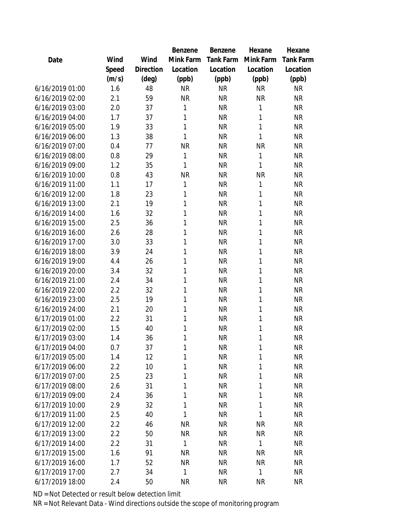|                 |       |           | Benzene      | Benzene          | Hexane    | Hexane           |
|-----------------|-------|-----------|--------------|------------------|-----------|------------------|
| Date            | Wind  | Wind      | Mink Farm    | <b>Tank Farm</b> | Mink Farm | <b>Tank Farm</b> |
|                 | Speed | Direction | Location     | Location         | Location  | Location         |
|                 | (m/s) | (deg)     | (ppb)        | (ppb)            | (ppb)     | (ppb)            |
| 6/16/2019 01:00 | 1.6   | 48        | <b>NR</b>    | <b>NR</b>        | <b>NR</b> | <b>NR</b>        |
| 6/16/2019 02:00 | 2.1   | 59        | <b>NR</b>    | <b>NR</b>        | <b>NR</b> | <b>NR</b>        |
| 6/16/2019 03:00 | 2.0   | 37        | 1            | <b>NR</b>        | 1         | <b>NR</b>        |
| 6/16/2019 04:00 | 1.7   | 37        | 1            | <b>NR</b>        | 1         | <b>NR</b>        |
| 6/16/2019 05:00 | 1.9   | 33        | 1            | <b>NR</b>        | 1         | <b>NR</b>        |
| 6/16/2019 06:00 | 1.3   | 38        | 1            | <b>NR</b>        | 1         | <b>NR</b>        |
| 6/16/2019 07:00 | 0.4   | 77        | <b>NR</b>    | <b>NR</b>        | <b>NR</b> | <b>NR</b>        |
| 6/16/2019 08:00 | 0.8   | 29        | $\mathbf 1$  | <b>NR</b>        | 1         | <b>NR</b>        |
| 6/16/2019 09:00 | 1.2   | 35        | 1            | <b>NR</b>        | 1         | <b>NR</b>        |
| 6/16/2019 10:00 | 0.8   | 43        | <b>NR</b>    | <b>NR</b>        | <b>NR</b> | <b>NR</b>        |
| 6/16/2019 11:00 | 1.1   | 17        | $\mathbf{1}$ | <b>NR</b>        | 1         | <b>NR</b>        |
| 6/16/2019 12:00 | 1.8   | 23        | 1            | <b>NR</b>        | 1         | <b>NR</b>        |
| 6/16/2019 13:00 | 2.1   | 19        | 1            | <b>NR</b>        | 1         | <b>NR</b>        |
| 6/16/2019 14:00 | 1.6   | 32        | 1            | <b>NR</b>        | 1         | <b>NR</b>        |
| 6/16/2019 15:00 | 2.5   | 36        | 1            | <b>NR</b>        | 1         | <b>NR</b>        |
| 6/16/2019 16:00 | 2.6   | 28        | 1            | <b>NR</b>        | 1         | <b>NR</b>        |
| 6/16/2019 17:00 | 3.0   | 33        | 1            | <b>NR</b>        | 1         | <b>NR</b>        |
| 6/16/2019 18:00 | 3.9   | 24        | 1            | <b>NR</b>        | 1         | <b>NR</b>        |
| 6/16/2019 19:00 | 4.4   | 26        | 1            | <b>NR</b>        | 1         | <b>NR</b>        |
| 6/16/2019 20:00 | 3.4   | 32        | 1            | <b>NR</b>        | 1         | <b>NR</b>        |
| 6/16/2019 21:00 | 2.4   | 34        | 1            | <b>NR</b>        | 1         | <b>NR</b>        |
| 6/16/2019 22:00 | 2.2   | 32        | 1            | <b>NR</b>        | 1         | <b>NR</b>        |
| 6/16/2019 23:00 | 2.5   | 19        | 1            | <b>NR</b>        | 1         | <b>NR</b>        |
| 6/16/2019 24:00 | 2.1   | 20        | 1            | <b>NR</b>        | 1         | <b>NR</b>        |
| 6/17/2019 01:00 | 2.2   | 31        | 1            | <b>NR</b>        | 1         | <b>NR</b>        |
| 6/17/2019 02:00 | 1.5   | 40        | 1            | <b>NR</b>        | 1         | <b>NR</b>        |
| 6/17/2019 03:00 | 1.4   | 36        | 1            | <b>NR</b>        | 1         | <b>NR</b>        |
| 6/17/2019 04:00 | 0.7   | 37        | 1            | <b>NR</b>        | 1         | <b>NR</b>        |
| 6/17/2019 05:00 | 1.4   | 12        | 1            | <b>NR</b>        | 1         | <b>NR</b>        |
| 6/17/2019 06:00 | 2.2   | 10        | 1            | <b>NR</b>        | 1         | <b>NR</b>        |
| 6/17/2019 07:00 | 2.5   | 23        | 1            | <b>NR</b>        | 1         | <b>NR</b>        |
| 6/17/2019 08:00 | 2.6   | 31        | 1            | <b>NR</b>        | 1         | <b>NR</b>        |
| 6/17/2019 09:00 | 2.4   | 36        | 1            | <b>NR</b>        | 1         | <b>NR</b>        |
| 6/17/2019 10:00 | 2.9   | 32        | 1            | <b>NR</b>        | 1         | <b>NR</b>        |
| 6/17/2019 11:00 | 2.5   | 40        | 1            | <b>NR</b>        | 1         | <b>NR</b>        |
| 6/17/2019 12:00 | 2.2   | 46        | <b>NR</b>    | <b>NR</b>        | <b>NR</b> | <b>NR</b>        |
| 6/17/2019 13:00 | 2.2   | 50        | <b>NR</b>    | <b>NR</b>        | <b>NR</b> | <b>NR</b>        |
| 6/17/2019 14:00 | 2.2   | 31        | 1            | <b>NR</b>        | 1         | <b>NR</b>        |
| 6/17/2019 15:00 | 1.6   | 91        | <b>NR</b>    | <b>NR</b>        | <b>NR</b> | <b>NR</b>        |
| 6/17/2019 16:00 | 1.7   | 52        | <b>NR</b>    | <b>NR</b>        | <b>NR</b> | NR               |
| 6/17/2019 17:00 | 2.7   | 34        | $\mathbf 1$  | <b>NR</b>        | 1         | <b>NR</b>        |
| 6/17/2019 18:00 | 2.4   | 50        | <b>NR</b>    | <b>NR</b>        | <b>NR</b> | <b>NR</b>        |
|                 |       |           |              |                  |           |                  |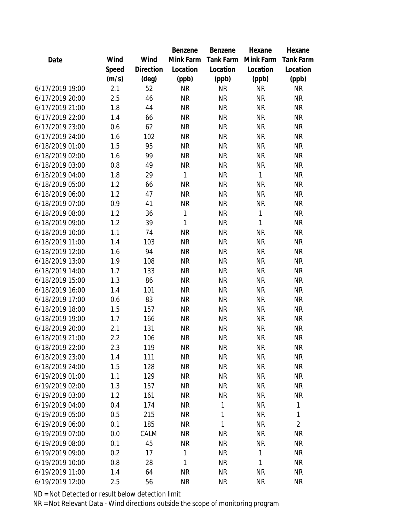|                 |       |           | Benzene      | Benzene          | Hexane    | Hexane           |
|-----------------|-------|-----------|--------------|------------------|-----------|------------------|
| Date            | Wind  | Wind      | Mink Farm    | <b>Tank Farm</b> | Mink Farm | <b>Tank Farm</b> |
|                 | Speed | Direction | Location     | Location         | Location  | Location         |
|                 | (m/s) | (deg)     | (ppb)        | (ppb)            | (ppb)     | (ppb)            |
| 6/17/2019 19:00 | 2.1   | 52        | <b>NR</b>    | <b>NR</b>        | <b>NR</b> | <b>NR</b>        |
| 6/17/2019 20:00 | 2.5   | 46        | <b>NR</b>    | <b>NR</b>        | <b>NR</b> | <b>NR</b>        |
| 6/17/2019 21:00 | 1.8   | 44        | <b>NR</b>    | <b>NR</b>        | <b>NR</b> | <b>NR</b>        |
| 6/17/2019 22:00 | 1.4   | 66        | <b>NR</b>    | <b>NR</b>        | <b>NR</b> | <b>NR</b>        |
| 6/17/2019 23:00 | 0.6   | 62        | <b>NR</b>    | <b>NR</b>        | <b>NR</b> | <b>NR</b>        |
| 6/17/2019 24:00 | 1.6   | 102       | <b>NR</b>    | <b>NR</b>        | <b>NR</b> | <b>NR</b>        |
| 6/18/2019 01:00 | 1.5   | 95        | <b>NR</b>    | <b>NR</b>        | <b>NR</b> | <b>NR</b>        |
| 6/18/2019 02:00 | 1.6   | 99        | <b>NR</b>    | <b>NR</b>        | <b>NR</b> | <b>NR</b>        |
| 6/18/2019 03:00 | 0.8   | 49        | <b>NR</b>    | <b>NR</b>        | <b>NR</b> | <b>NR</b>        |
| 6/18/2019 04:00 | 1.8   | 29        | 1            | <b>NR</b>        | 1         | <b>NR</b>        |
| 6/18/2019 05:00 | 1.2   | 66        | <b>NR</b>    | <b>NR</b>        | <b>NR</b> | <b>NR</b>        |
| 6/18/2019 06:00 | 1.2   | 47        | <b>NR</b>    | <b>NR</b>        | <b>NR</b> | <b>NR</b>        |
| 6/18/2019 07:00 | 0.9   | 41        | <b>NR</b>    | <b>NR</b>        | <b>NR</b> | <b>NR</b>        |
| 6/18/2019 08:00 | 1.2   | 36        | $\mathbf{1}$ | <b>NR</b>        | 1         | <b>NR</b>        |
| 6/18/2019 09:00 | 1.2   | 39        | 1            | <b>NR</b>        | 1         | <b>NR</b>        |
| 6/18/2019 10:00 | 1.1   | 74        | <b>NR</b>    | <b>NR</b>        | <b>NR</b> | <b>NR</b>        |
| 6/18/2019 11:00 | 1.4   | 103       | <b>NR</b>    | <b>NR</b>        | <b>NR</b> | <b>NR</b>        |
| 6/18/2019 12:00 | 1.6   | 94        | <b>NR</b>    | <b>NR</b>        | <b>NR</b> | <b>NR</b>        |
| 6/18/2019 13:00 | 1.9   | 108       | <b>NR</b>    | <b>NR</b>        | <b>NR</b> | <b>NR</b>        |
| 6/18/2019 14:00 | 1.7   | 133       | <b>NR</b>    | <b>NR</b>        | <b>NR</b> | <b>NR</b>        |
| 6/18/2019 15:00 | 1.3   | 86        | <b>NR</b>    | <b>NR</b>        | <b>NR</b> | <b>NR</b>        |
| 6/18/2019 16:00 | 1.4   | 101       | <b>NR</b>    | <b>NR</b>        | <b>NR</b> | <b>NR</b>        |
| 6/18/2019 17:00 | 0.6   | 83        | <b>NR</b>    | <b>NR</b>        | <b>NR</b> | <b>NR</b>        |
| 6/18/2019 18:00 | 1.5   | 157       | <b>NR</b>    | <b>NR</b>        | <b>NR</b> | <b>NR</b>        |
| 6/18/2019 19:00 | 1.7   | 166       | <b>NR</b>    | <b>NR</b>        | <b>NR</b> | <b>NR</b>        |
| 6/18/2019 20:00 | 2.1   | 131       | <b>NR</b>    | <b>NR</b>        | <b>NR</b> | <b>NR</b>        |
| 6/18/2019 21:00 | 2.2   | 106       | <b>NR</b>    | <b>NR</b>        | <b>NR</b> | <b>NR</b>        |
| 6/18/2019 22:00 | 2.3   | 119       | <b>NR</b>    | <b>NR</b>        | <b>NR</b> | <b>NR</b>        |
| 6/18/2019 23:00 | 1.4   | 111       | <b>NR</b>    | <b>NR</b>        | <b>NR</b> | <b>NR</b>        |
| 6/18/2019 24:00 | 1.5   | 128       | <b>NR</b>    | <b>NR</b>        | <b>NR</b> | <b>NR</b>        |
| 6/19/2019 01:00 | 1.1   | 129       | <b>NR</b>    | <b>NR</b>        | <b>NR</b> | <b>NR</b>        |
| 6/19/2019 02:00 | 1.3   | 157       | <b>NR</b>    | <b>NR</b>        | <b>NR</b> | <b>NR</b>        |
| 6/19/2019 03:00 | 1.2   | 161       | <b>NR</b>    | <b>NR</b>        | <b>NR</b> | <b>NR</b>        |
| 6/19/2019 04:00 | 0.4   | 174       | <b>NR</b>    | 1                | <b>NR</b> | 1                |
| 6/19/2019 05:00 | 0.5   | 215       | <b>NR</b>    | 1                | <b>NR</b> | 1                |
| 6/19/2019 06:00 | 0.1   | 185       | <b>NR</b>    | 1                | <b>NR</b> | $\overline{2}$   |
| 6/19/2019 07:00 | 0.0   | CALM      | <b>NR</b>    | <b>NR</b>        | <b>NR</b> | <b>NR</b>        |
| 6/19/2019 08:00 | 0.1   | 45        | <b>NR</b>    | <b>NR</b>        | <b>NR</b> | <b>NR</b>        |
| 6/19/2019 09:00 | 0.2   | 17        | 1            | <b>NR</b>        | 1         | <b>NR</b>        |
| 6/19/2019 10:00 | 0.8   | 28        | 1            | <b>NR</b>        | 1         | <b>NR</b>        |
| 6/19/2019 11:00 | 1.4   | 64        | <b>NR</b>    | <b>NR</b>        | <b>NR</b> | <b>NR</b>        |
| 6/19/2019 12:00 | 2.5   | 56        | <b>NR</b>    | <b>NR</b>        | <b>NR</b> | <b>NR</b>        |
|                 |       |           |              |                  |           |                  |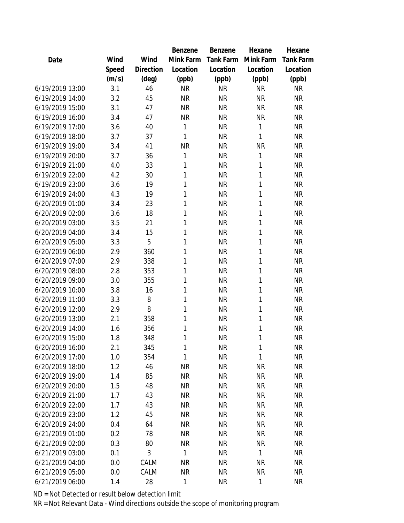|                 |       |           | Benzene   | Benzene          | Hexane    | Hexane           |
|-----------------|-------|-----------|-----------|------------------|-----------|------------------|
| Date            | Wind  | Wind      | Mink Farm | <b>Tank Farm</b> | Mink Farm | <b>Tank Farm</b> |
|                 | Speed | Direction | Location  | Location         | Location  | Location         |
|                 | (m/s) | (deg)     | (ppb)     | (ppb)            | (ppb)     | (ppb)            |
| 6/19/2019 13:00 | 3.1   | 46        | <b>NR</b> | <b>NR</b>        | <b>NR</b> | <b>NR</b>        |
| 6/19/2019 14:00 | 3.2   | 45        | <b>NR</b> | <b>NR</b>        | <b>NR</b> | <b>NR</b>        |
| 6/19/2019 15:00 | 3.1   | 47        | <b>NR</b> | <b>NR</b>        | <b>NR</b> | <b>NR</b>        |
| 6/19/2019 16:00 | 3.4   | 47        | <b>NR</b> | <b>NR</b>        | <b>NR</b> | <b>NR</b>        |
| 6/19/2019 17:00 | 3.6   | 40        | 1         | <b>NR</b>        | 1         | <b>NR</b>        |
| 6/19/2019 18:00 | 3.7   | 37        | 1         | <b>NR</b>        | 1         | <b>NR</b>        |
| 6/19/2019 19:00 | 3.4   | 41        | <b>NR</b> | <b>NR</b>        | <b>NR</b> | <b>NR</b>        |
| 6/19/2019 20:00 | 3.7   | 36        | 1         | <b>NR</b>        | 1         | <b>NR</b>        |
| 6/19/2019 21:00 | 4.0   | 33        | 1         | <b>NR</b>        | 1         | <b>NR</b>        |
| 6/19/2019 22:00 | 4.2   | 30        | 1         | <b>NR</b>        | 1         | <b>NR</b>        |
| 6/19/2019 23:00 | 3.6   | 19        | 1         | <b>NR</b>        | 1         | <b>NR</b>        |
| 6/19/2019 24:00 | 4.3   | 19        | 1         | <b>NR</b>        | 1         | <b>NR</b>        |
| 6/20/2019 01:00 | 3.4   | 23        | 1         | <b>NR</b>        | 1         | <b>NR</b>        |
| 6/20/2019 02:00 | 3.6   | 18        | 1         | <b>NR</b>        | 1         | <b>NR</b>        |
| 6/20/2019 03:00 | 3.5   | 21        | 1         | <b>NR</b>        | 1         | <b>NR</b>        |
| 6/20/2019 04:00 | 3.4   | 15        | 1         | <b>NR</b>        | 1         | <b>NR</b>        |
| 6/20/2019 05:00 | 3.3   | 5         | 1         | <b>NR</b>        | 1         | <b>NR</b>        |
| 6/20/2019 06:00 | 2.9   | 360       | 1         | <b>NR</b>        | 1         | <b>NR</b>        |
| 6/20/2019 07:00 | 2.9   | 338       | 1         | <b>NR</b>        | 1         | <b>NR</b>        |
| 6/20/2019 08:00 | 2.8   | 353       | 1         | <b>NR</b>        | 1         | <b>NR</b>        |
| 6/20/2019 09:00 | 3.0   | 355       | 1         | <b>NR</b>        | 1         | <b>NR</b>        |
| 6/20/2019 10:00 | 3.8   | 16        | 1         | <b>NR</b>        | 1         | <b>NR</b>        |
| 6/20/2019 11:00 | 3.3   | 8         | 1         | <b>NR</b>        | 1         | <b>NR</b>        |
| 6/20/2019 12:00 | 2.9   | 8         | 1         | <b>NR</b>        | 1         | <b>NR</b>        |
| 6/20/2019 13:00 | 2.1   | 358       | 1         | <b>NR</b>        | 1         | <b>NR</b>        |
| 6/20/2019 14:00 | 1.6   | 356       | 1         | <b>NR</b>        | 1         | <b>NR</b>        |
| 6/20/2019 15:00 | 1.8   | 348       | 1         | <b>NR</b>        | 1         | <b>NR</b>        |
| 6/20/2019 16:00 | 2.1   | 345       | 1         | <b>NR</b>        | 1         | <b>NR</b>        |
| 6/20/2019 17:00 | 1.0   | 354       | 1         | <b>NR</b>        | 1         | <b>NR</b>        |
| 6/20/2019 18:00 | 1.2   | 46        | <b>NR</b> | <b>NR</b>        | <b>NR</b> | <b>NR</b>        |
| 6/20/2019 19:00 | 1.4   | 85        | <b>NR</b> | <b>NR</b>        | <b>NR</b> | <b>NR</b>        |
| 6/20/2019 20:00 | 1.5   | 48        | <b>NR</b> | <b>NR</b>        | <b>NR</b> | <b>NR</b>        |
| 6/20/2019 21:00 | 1.7   | 43        | <b>NR</b> | <b>NR</b>        | <b>NR</b> | <b>NR</b>        |
| 6/20/2019 22:00 | 1.7   | 43        | <b>NR</b> | <b>NR</b>        | <b>NR</b> | <b>NR</b>        |
| 6/20/2019 23:00 | 1.2   | 45        | <b>NR</b> | <b>NR</b>        | <b>NR</b> | <b>NR</b>        |
| 6/20/2019 24:00 | 0.4   | 64        | <b>NR</b> | <b>NR</b>        | <b>NR</b> | <b>NR</b>        |
| 6/21/2019 01:00 | 0.2   | 78        | <b>NR</b> | <b>NR</b>        | <b>NR</b> | <b>NR</b>        |
| 6/21/2019 02:00 | 0.3   | 80        | <b>NR</b> | <b>NR</b>        | <b>NR</b> | <b>NR</b>        |
| 6/21/2019 03:00 | 0.1   | 3         | 1         | <b>NR</b>        | 1         | <b>NR</b>        |
| 6/21/2019 04:00 | 0.0   | CALM      | <b>NR</b> | <b>NR</b>        | <b>NR</b> | <b>NR</b>        |
| 6/21/2019 05:00 | 0.0   | CALM      | <b>NR</b> | <b>NR</b>        | <b>NR</b> | <b>NR</b>        |
| 6/21/2019 06:00 | 1.4   | 28        | 1         | <b>NR</b>        | 1         | <b>NR</b>        |
|                 |       |           |           |                  |           |                  |